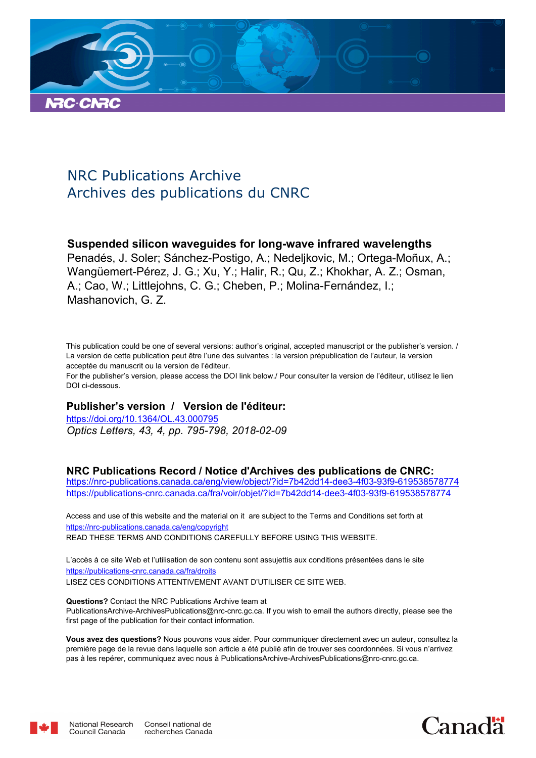

### NRC Publications Archive Archives des publications du CNRC

#### **Suspended silicon waveguides for long-wave infrared wavelengths**

Penadés, J. Soler; Sánchez-Postigo, A.; Nedeljkovic, M.; Ortega-Moñux, A.; Wangüemert-Pérez, J. G.; Xu, Y.; Halir, R.; Qu, Z.; Khokhar, A. Z.; Osman, A.; Cao, W.; Littlejohns, C. G.; Cheben, P.; Molina-Fernández, I.; Mashanovich, G. Z.

This publication could be one of several versions: author's original, accepted manuscript or the publisher's version. / La version de cette publication peut être l'une des suivantes : la version prépublication de l'auteur, la version acceptée du manuscrit ou la version de l'éditeur.

For the publisher's version, please access the DOI link below./ Pour consulter la version de l'éditeur, utilisez le lien DOI ci-dessous.

#### **Publisher's version / Version de l'éditeur:**

*Optics Letters, 43, 4, pp. 795-798, 2018-02-09* https://doi.org/10.1364/OL.43.000795

#### **NRC Publications Record / Notice d'Archives des publications de CNRC:**

https://nrc-publications.canada.ca/eng/view/object/?id=7b42dd14-dee3-4f03-93f9-619538578774 https://publications-cnrc.canada.ca/fra/voir/objet/?id=7b42dd14-dee3-4f03-93f9-619538578774

READ THESE TERMS AND CONDITIONS CAREFULLY BEFORE USING THIS WEBSITE. https://nrc-publications.canada.ca/eng/copyright Access and use of this website and the material on it are subject to the Terms and Conditions set forth at

https://publications-cnrc.canada.ca/fra/droits L'accès à ce site Web et l'utilisation de son contenu sont assujettis aux conditions présentées dans le site LISEZ CES CONDITIONS ATTENTIVEMENT AVANT D'UTILISER CE SITE WEB.

**Questions?** Contact the NRC Publications Archive team at PublicationsArchive-ArchivesPublications@nrc-cnrc.gc.ca. If you wish to email the authors directly, please see the first page of the publication for their contact information.

**Vous avez des questions?** Nous pouvons vous aider. Pour communiquer directement avec un auteur, consultez la première page de la revue dans laquelle son article a été publié afin de trouver ses coordonnées. Si vous n'arrivez pas à les repérer, communiquez avec nous à PublicationsArchive-ArchivesPublications@nrc-cnrc.gc.ca.



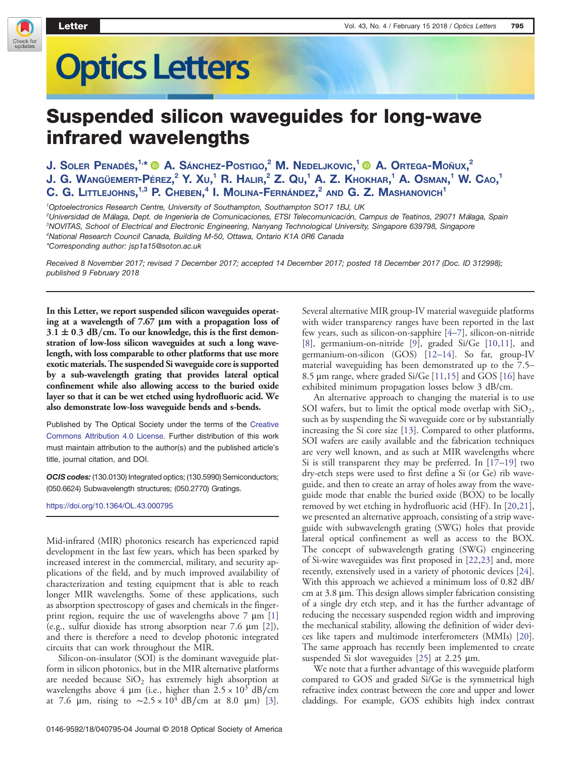Check for<br>updates

# **Optics Letters**

## Suspended silicon waveguides for long-wave infrared wavelengths

J. Soler Penadés, $^{1,*}$  (@) A. Sánchez-Postigo, $^2$  M. Nedeljkovic, $^1$  (@) A. Ortega-Moñux, $^2$ J. G. Wangüemert-Pérez, $^2$  Y. Xu, $^1$  R. Halir, $^2$  Z. Qu, $^1$  A. Z. Khokhar, $^1$  A. Osman, $^1$  W. Cao, $^1$ C. G. Littlejohns, $^{1,3}$  P. Cheben, $^4$  I. Molina-Fernández, $^2$  and G. Z. Mashanovich $^1$ 

Optoelectronics Research Centre, University of Southampton, Southampton SO17 1BJ, UK Universidad de Málaga, Dept. de Ingeniería de Comunicaciones, ETSI Telecomunicación, Campus de Teatinos, 29071 Málaga, Spain NOVITAS, School of Electrical and Electronic Engineering, Nanyang Technological University, Singapore 639798, Singapore National Research Council Canada, Building M-50, Ottawa, Ontario K1A 0R6 Canada *\*Corresponding author: [jsp1a15@soton.ac.uk](mailto:jsp1a15@soton.ac.uk)*

Received 8 November 2017; revised 7 December 2017; accepted 14 December 2017; posted 18 December 2017 (Doc. ID 312998); published 9 February 2018

In this Letter, we report suspended silicon waveguides operating at a wavelength of 7.67 μm with a propagation loss of  $3.1 \pm 0.3$  dB/cm. To our knowledge, this is the first demonstration of low-loss silicon waveguides at such a long wavelength, with loss comparable to other platforms that use more exotic materials. The suspended Si waveguide core is supported by a sub-wavelength grating that provides lateral optical confinement while also allowing access to the buried oxide layer so that it can be wet etched using hydrofluoric acid. We also demonstrate low-loss waveguide bends and s-bends.

Published by The Optical Society under the terms of the [Creative](http://creativecommons.org/licenses/by/4.0/) [Commons Attribution 4.0 License.](http://creativecommons.org/licenses/by/4.0/) Further distribution of this work must maintain attribution to the author(s) and the published article's title, journal citation, and DOI.

OCIS codes: (130.0130) Integrated optics; (130.5990) Semiconductors; (050.6624) Subwavelength structures; (050.2770) Gratings.

<https://doi.org/10.1364/OL.43.000795>

Mid-infrared (MIR) photonics research has experienced rapid development in the last few years, which has been sparked by increased interest in the commercial, military, and security applications of the field, and by much improved availability of characterization and testing equipment that is able to reach longer MIR wavelengths. Some of these applications, such as absorption spectroscopy of gases and chemicals in the fingerprint region, require the use of wavelengths above  $7 \mu m$  [1] (e.g., sulfur dioxide has strong absorption near 7.6 μm [2]), and there is therefore a need to develop photonic integrated circuits that can work throughout the MIR.

Silicon-on-insulator (SOI) is the dominant waveguide platform in silicon photonics, but in the MIR alternative platforms are needed because  $SiO<sub>2</sub>$  has extremely high absorption at wavelengths above 4 µm (i.e., higher than  $2.5 \times 10^3$  dB/cm at 7.6 μm, rising to  $\sim 2.5 \times 10^4$  dB/cm at 8.0 μm) [3]. Several alternative MIR group-IV material waveguide platforms with wider transparency ranges have been reported in the last few years, such as silicon-on-sapphire [4–7], silicon-on-nitride [8], germanium-on-nitride [9], graded Si/Ge [10,11], and germanium-on-silicon (GOS) [12–14]. So far, group-IV material waveguiding has been demonstrated up to the 7.5– 8.5 μm range, where graded Si/Ge [11,15] and GOS [16] have exhibited minimum propagation losses below 3 dB/cm.

An alternative approach to changing the material is to use SOI wafers, but to limit the optical mode overlap with  $\text{SiO}_2$ , such as by suspending the Si waveguide core or by substantially increasing the Si core size [13]. Compared to other platforms, SOI wafers are easily available and the fabrication techniques are very well known, and as such at MIR wavelengths where Si is still transparent they may be preferred. In  $[17-19]$  two dry-etch steps were used to first define a Si (or Ge) rib waveguide, and then to create an array of holes away from the waveguide mode that enable the buried oxide (BOX) to be locally removed by wet etching in hydrofluoric acid (HF). In [20,21], we presented an alternative approach, consisting of a strip waveguide with subwavelength grating (SWG) holes that provide lateral optical confinement as well as access to the BOX. The concept of subwavelength grating (SWG) engineering of Si-wire waveguides was first proposed in [22,23] and, more recently, extensively used in a variety of photonic devices [24]. With this approach we achieved a minimum loss of 0.82 dB/ cm at 3.8 μm. This design allows simpler fabrication consisting of a single dry etch step, and it has the further advantage of reducing the necessary suspended region width and improving the mechanical stability, allowing the definition of wider devices like tapers and multimode interferometers (MMIs) [20]. The same approach has recently been implemented to create suspended Si slot waveguides [25] at 2.25 μm.

We note that a further advantage of this waveguide platform compared to GOS and graded Si/Ge is the symmetrical high refractive index contrast between the core and upper and lower claddings. For example, GOS exhibits high index contrast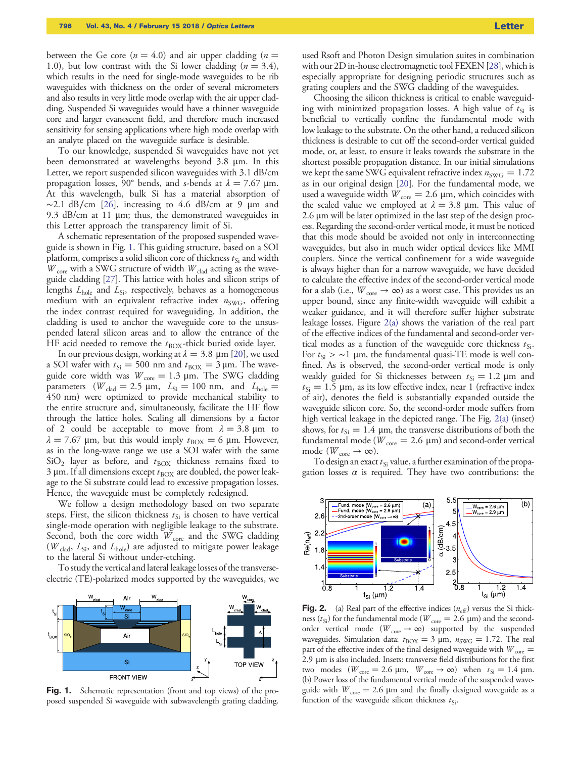between the Ge core ( $n = 4.0$ ) and air upper cladding ( $n =$ 1.0), but low contrast with the Si lower cladding  $(n = 3.4)$ , which results in the need for single-mode waveguides to be rib waveguides with thickness on the order of several micrometers and also results in very little mode overlap with the air upper cladding. Suspended Si waveguides would have a thinner waveguide core and larger evanescent field, and therefore much increased sensitivity for sensing applications where high mode overlap with an analyte placed on the waveguide surface is desirable.

To our knowledge, suspended Si waveguides have not yet been demonstrated at wavelengths beyond 3.8 μm. In this Letter, we report suspended silicon waveguides with 3.1 dB/cm propagation losses, 90° bends, and s-bends at  $λ = 7.67$  μm. At this wavelength, bulk Si has a material absorption of  $\sim$ 2.1 dB/cm [26], increasing to 4.6 dB/cm at 9 µm and 9.3 dB/cm at 11 μm; thus, the demonstrated waveguides in this Letter approach the transparency limit of Si.

A schematic representation of the proposed suspended waveguide is shown in Fig. 1. This guiding structure, based on a SOI platform, comprises a solid silicon core of thickness  $t_{Si}$  and width  $\overline{W}_{\rm core}$  with a SWG structure of width  $\overline{W}_{\rm clad}$  acting as the waveguide cladding [27]. This lattice with holes and silicon strips of lengths  $L_{hole}$  and  $L_{Si}$ , respectively, behaves as a homogeneous medium with an equivalent refractive index  $n_{\text{SWG}}$ , offering the index contrast required for waveguiding. In addition, the cladding is used to anchor the waveguide core to the unsuspended lateral silicon areas and to allow the entrance of the HF acid needed to remove the  $t_{\text{BOX}}$ -thick buried oxide layer.

In our previous design, working at  $\lambda = 3.8 \, \mu \text{m}$  [20], we used a SOI wafer with  $t_{\text{Si}} = 500$  nm and  $t_{\text{BOX}} = 3 \,\mu\text{m}$ . The waveguide core width was  $W_{\text{core}} = 1.3 \text{ }\mu\text{m}$ . The SWG cladding parameters ( $W_{\text{clad}} = 2.5 \text{ }\mu\text{m}, L_{\text{Si}} = 100 \text{ nm}, \text{ and } L_{\text{hole}} =$ 450 nm) were optimized to provide mechanical stability to the entire structure and, simultaneously, facilitate the HF flow through the lattice holes. Scaling all dimensions by a factor of 2 could be acceptable to move from  $\lambda = 3.8$  µm to  $\lambda = 7.67$  μm, but this would imply  $t_{\text{BOX}} = 6$  μm. However, as in the long-wave range we use a SOI wafer with the same  $SiO<sub>2</sub>$  layer as before, and  $t_{\rm BOX}$  thickness remains fixed to  $3 \mu$ m. If all dimensions except  $t_{\text{BOX}}$  are doubled, the power leakage to the Si substrate could lead to excessive propagation losses. Hence, the waveguide must be completely redesigned.

We follow a design methodology based on two separate steps. First, the silicon thickness  $t_{Si}$  is chosen to have vertical single-mode operation with negligible leakage to the substrate. Second, both the core width  $W_{\text{core}}$  and the SWG cladding ( $W_{\text{clad}}$ ,  $L_{\text{Si}}$ , and  $L_{\text{hole}}$ ) are adjusted to mitigate power leakage to the lateral Si without under-etching.

To study the vertical and lateral leakage losses of the transverseelectric (TE)-polarized modes supported by the waveguides, we



used Rsoft and Photon Design simulation suites in combination with our 2D in-house electromagnetic tool FEXEN [28], which is especially appropriate for designing periodic structures such as grating couplers and the SWG cladding of the waveguides.

Choosing the silicon thickness is critical to enable waveguiding with minimized propagation losses. A high value of  $t_{Si}$  is beneficial to vertically confine the fundamental mode with low leakage to the substrate. On the other hand, a reduced silicon thickness is desirable to cut off the second-order vertical guided mode, or, at least, to ensure it leaks towards the substrate in the shortest possible propagation distance. In our initial simulations we kept the same SWG equivalent refractive index  $n_{\text{SWG}} = 1.72$ as in our original design [20]. For the fundamental mode, we used a waveguide width  $W_{\text{core}} = 2.6 \, \mu \text{m}$ , which coincides with the scaled value we employed at  $\lambda = 3.8$  µm. This value of 2.6 μm will be later optimized in the last step of the design process. Regarding the second-order vertical mode, it must be noticed that this mode should be avoided not only in interconnecting waveguides, but also in much wider optical devices like MMI couplers. Since the vertical confinement for a wide waveguide is always higher than for a narrow waveguide, we have decided to calculate the effective index of the second-order vertical mode for a slab (i.e.,  $W_{\text{core}} \rightarrow \infty$ ) as a worst case. This provides us an upper bound, since any finite-width waveguide will exhibit a weaker guidance, and it will therefore suffer higher substrate leakage losses. Figure 2(a) shows the variation of the real part of the effective indices of the fundamental and second-order vertical modes as a function of the waveguide core thickness  $t_{Si}$ . For  $t_{\rm Si} > \sim 1$  µm, the fundamental quasi-TE mode is well confined. As is observed, the second-order vertical mode is only weakly guided for Si thicknesses between  $t_{\text{Si}} = 1.2 \text{ }\mu\text{m}$  and  $t_{\text{Si}} = 1.5$  µm, as its low effective index, near 1 (refractive index of air), denotes the field is substantially expanded outside the waveguide silicon core. So, the second-order mode suffers from high vertical leakage in the depicted range. The Fig. 2(a) (inset) shows, for  $t_{\text{Si}} = 1.4$  µm, the transverse distributions of both the fundamental mode ( $W_{\text{core}} = 2.6 \text{ }\mu\text{m}$ ) and second-order vertical mode ( $W_{\text{core}} \rightarrow \infty$ ).

To design an exact  $t_{Si}$  value, a further examination of the propagation losses  $\alpha$  is required. They have two contributions: the



**Fig. 2.** (a) Real part of the effective indices  $(n_{\text{eff}})$  versus the Si thickness ( $t_{\text{Si}}$ ) for the fundamental mode ( $W_{\text{core}} = 2.6 \mu m$ ) and the secondorder vertical mode ( $W_{\text{core}} \to \infty$ ) supported by the suspended waveguides. Simulation data:  $t_{\text{BOX}} = 3 \mu \text{m}$ ,  $n_{\text{SWG}} = 1.72$ . The real part of the effective index of the final designed waveguide with  $W_{\rm core} =$ 2.9 μm is also included. Insets: transverse field distributions for the first two modes ( $W_{\text{core}} = 2.6 \mu \text{m}$ ,  $W_{\text{core}} \rightarrow \infty$ ) when  $t_{\text{Si}} = 1.4 \mu \text{m}$ . (b) Power loss of the fundamental vertical mode of the suspended waveguide with  $W_{\text{core}} = 2.6 \mu \text{m}$  and the finally designed waveguide as a function of the waveguide silicon thickness  $t_{Si}$ .

Fig. 1. Schematic representation (front and top views) of the proposed suspended Si waveguide with subwavelength grating cladding.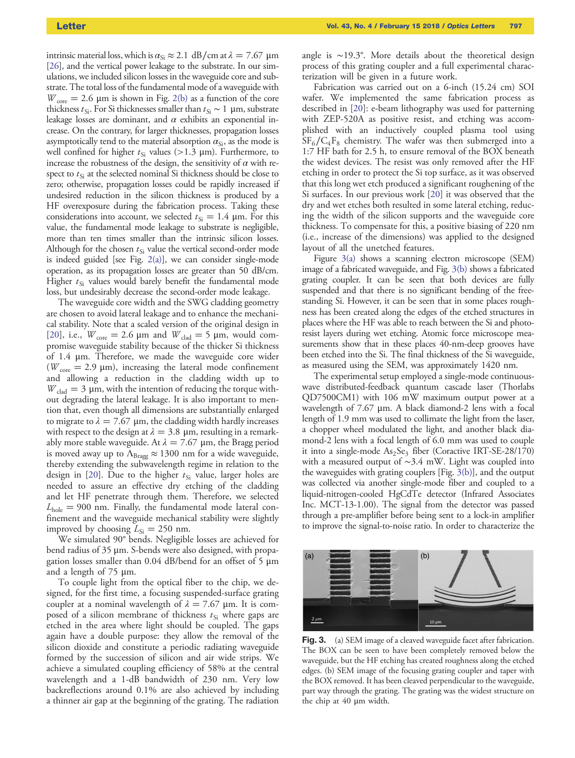intrinsic material loss, which is  $\alpha_{Si} \approx 2.1 \text{ dB/cm at } \lambda = 7.67 \text{ }\mu\text{m}$ [26], and the vertical power leakage to the substrate. In our simulations, we included silicon losses in the waveguide core and substrate. The total loss of the fundamental mode of a waveguide with  $W_{\text{core}} = 2.6 \, \mu \text{m}$  is shown in Fig. 2(b) as a function of the core thickness  $t_{Si}$ . For Si thicknesses smaller than  $t_{Si} \sim 1 \ \mu m$ , substrate leakage losses are dominant, and  $\alpha$  exhibits an exponential increase. On the contrary, for larger thicknesses, propagation losses asymptotically tend to the material absorption  $\alpha_{Si}$ , as the mode is well confined for higher  $t_{Si}$  values (>1.3 µm). Furthermore, to increase the robustness of the design, the sensitivity of  $\alpha$  with respect to  $t_{\rm Si}$  at the selected nominal Si thickness should be close to zero; otherwise, propagation losses could be rapidly increased if undesired reduction in the silicon thickness is produced by a HF overexposure during the fabrication process. Taking these considerations into account, we selected  $t_{\text{Si}} = 1.4$  µm. For this value, the fundamental mode leakage to substrate is negligible, more than ten times smaller than the intrinsic silicon losses. Although for the chosen  $t_{Si}$  value the vertical second-order mode is indeed guided [see Fig. 2(a)], we can consider single-mode operation, as its propagation losses are greater than 50 dB/cm. Higher  $t_{Si}$  values would barely benefit the fundamental mode loss, but undesirably decrease the second-order mode leakage.

The waveguide core width and the SWG cladding geometry are chosen to avoid lateral leakage and to enhance the mechanical stability. Note that a scaled version of the original design in [20], i.e.,  $W_{\text{core}} = 2.6 \text{ }\mu\text{m}$  and  $W_{\text{clad}} = 5 \text{ }\mu\text{m}$ , would compromise waveguide stability because of the thicker Si thickness of 1.4 μm. Therefore, we made the waveguide core wider ( $W_{\text{core}} = 2.9 \text{ }\mu\text{m}$ ), increasing the lateral mode confinement and allowing a reduction in the cladding width up to  $W_{\text{clad}} = 3 \, \mu \text{m}$ , with the intention of reducing the torque without degrading the lateral leakage. It is also important to mention that, even though all dimensions are substantially enlarged to migrate to  $\lambda = 7.67 \mu m$ , the cladding width hardly increases with respect to the design at  $\lambda = 3.8 \, \mu m$ , resulting in a remarkably more stable waveguide. At  $\lambda = 7.67 \mu m$ , the Bragg period is moved away up to  $\Lambda_{\text{Bragg}} \approx 1300$  nm for a wide waveguide, thereby extending the subwavelength regime in relation to the design in [20]. Due to the higher  $t_{Si}$  value, larger holes are needed to assure an effective dry etching of the cladding and let HF penetrate through them. Therefore, we selected  $L_{\text{hole}} = 900$  nm. Finally, the fundamental mode lateral confinement and the waveguide mechanical stability were slightly improved by choosing  $L_{Si} = 250$  nm.

We simulated 90° bends. Negligible losses are achieved for bend radius of 35 μm. S-bends were also designed, with propagation losses smaller than 0.04 dB/bend for an offset of 5 μm and a length of 75 μm.

To couple light from the optical fiber to the chip, we designed, for the first time, a focusing suspended-surface grating coupler at a nominal wavelength of  $\lambda = 7.67$  µm. It is composed of a silicon membrane of thickness  $t_{Si}$  where gaps are etched in the area where light should be coupled. The gaps again have a double purpose: they allow the removal of the silicon dioxide and constitute a periodic radiating waveguide formed by the succession of silicon and air wide strips. We achieve a simulated coupling efficiency of 58% at the central wavelength and a 1-dB bandwidth of 230 nm. Very low backreflections around 0.1% are also achieved by including a thinner air gap at the beginning of the grating. The radiation

angle is ∼19.3°. More details about the theoretical design process of this grating coupler and a full experimental characterization will be given in a future work.

Fabrication was carried out on a 6-inch (15.24 cm) SOI wafer. We implemented the same fabrication process as described in [20]: e-beam lithography was used for patterning with ZEP-520A as positive resist, and etching was accomplished with an inductively coupled plasma tool using  $\rm SF_6/C_4F_8$  chemistry. The wafer was then submerged into a 1:7 HF bath for 2.5 h, to ensure removal of the BOX beneath the widest devices. The resist was only removed after the HF etching in order to protect the Si top surface, as it was observed that this long wet etch produced a significant roughening of the Si surfaces. In our previous work [20] it was observed that the dry and wet etches both resulted in some lateral etching, reducing the width of the silicon supports and the waveguide core thickness. To compensate for this, a positive biasing of 220 nm (i.e., increase of the dimensions) was applied to the designed layout of all the unetched features.

Figure 3(a) shows a scanning electron microscope (SEM) image of a fabricated waveguide, and Fig. 3(b) shows a fabricated grating coupler. It can be seen that both devices are fully suspended and that there is no significant bending of the freestanding Si. However, it can be seen that in some places roughness has been created along the edges of the etched structures in places where the HF was able to reach between the Si and photoresist layers during wet etching. Atomic force microscope measurements show that in these places 40-nm-deep grooves have been etched into the Si. The final thickness of the Si waveguide, as measured using the SEM, was approximately 1420 nm.

The experimental setup employed a single-mode continuouswave distributed-feedback quantum cascade laser (Thorlabs QD7500CM1) with 106 mW maximum output power at a wavelength of 7.67 μm. A black diamond-2 lens with a focal length of 1.9 mm was used to collimate the light from the laser, a chopper wheel modulated the light, and another black diamond-2 lens with a focal length of 6.0 mm was used to couple it into a single-mode  $As_2Se_3$  fiber (Coractive IRT-SE-28/170) with a measured output of ∼3.4 mW. Light was coupled into the waveguides with grating couplers [Fig. 3(b)], and the output was collected via another single-mode fiber and coupled to a liquid-nitrogen-cooled HgCdTe detector (Infrared Associates Inc. MCT-13-1.00). The signal from the detector was passed through a pre-amplifier before being sent to a lock-in amplifier to improve the signal-to-noise ratio. In order to characterize the



Fig. 3. (a) SEM image of a cleaved waveguide facet after fabrication. The BOX can be seen to have been completely removed below the waveguide, but the HF etching has created roughness along the etched edges. (b) SEM image of the focusing grating coupler and taper with the BOX removed. It has been cleaved perpendicular to the waveguide, part way through the grating. The grating was the widest structure on the chip at 40 μm width.